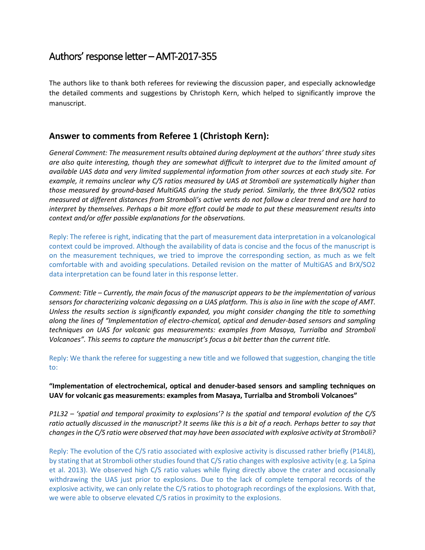# Authors' response letter – AMT-2017-355

The authors like to thank both referees for reviewing the discussion paper, and especially acknowledge the detailed comments and suggestions by Christoph Kern, which helped to significantly improve the manuscript.

## **Answer to comments from Referee 1 (Christoph Kern):**

*General Comment: The measurement results obtained during deployment at the authors' three study sites are also quite interesting, though they are somewhat difficult to interpret due to the limited amount of available UAS data and very limited supplemental information from other sources at each study site. For example, it remains unclear why C/S ratios measured by UAS at Stromboli are systematically higher than those measured by ground-based MultiGAS during the study period. Similarly, the three BrX/SO2 ratios measured at different distances from Stromboli's active vents do not follow a clear trend and are hard to interpret by themselves. Perhaps a bit more effort could be made to put these measurement results into context and/or offer possible explanations for the observations.*

Reply: The referee is right, indicating that the part of measurement data interpretation in a volcanological context could be improved. Although the availability of data is concise and the focus of the manuscript is on the measurement techniques, we tried to improve the corresponding section, as much as we felt comfortable with and avoiding speculations. Detailed revision on the matter of MultiGAS and BrX/SO2 data interpretation can be found later in this response letter.

*Comment: Title – Currently, the main focus of the manuscript appears to be the implementation of various sensors for characterizing volcanic degassing on a UAS platform. This is also in line with the scope of AMT. Unless the results section is significantly expanded, you might consider changing the title to something along the lines of "Implementation of electro-chemical, optical and denuder-based sensors and sampling techniques on UAS for volcanic gas measurements: examples from Masaya, Turrialba and Stromboli Volcanoes". This seems to capture the manuscript's focus a bit better than the current title.*

Reply: We thank the referee for suggesting a new title and we followed that suggestion, changing the title to:

## **"Implementation of electrochemical, optical and denuder-based sensors and sampling techniques on UAV for volcanic gas measurements: examples from Masaya, Turrialba and Stromboli Volcanoes"**

*P1L32 – 'spatial and temporal proximity to explosions'? Is the spatial and temporal evolution of the C/S ratio actually discussed in the manuscript? It seems like this is a bit of a reach. Perhaps better to say that changes in the C/S ratio were observed that may have been associated with explosive activity at Stromboli?*

Reply: The evolution of the C/S ratio associated with explosive activity is discussed rather briefly (P14L8), by stating that at Stromboli other studies found that C/S ratio changes with explosive activity (e.g. La Spina et al. 2013). We observed high C/S ratio values while flying directly above the crater and occasionally withdrawing the UAS just prior to explosions. Due to the lack of complete temporal records of the explosive activity, we can only relate the C/S ratios to photograph recordings of the explosions. With that, we were able to observe elevated C/S ratios in proximity to the explosions.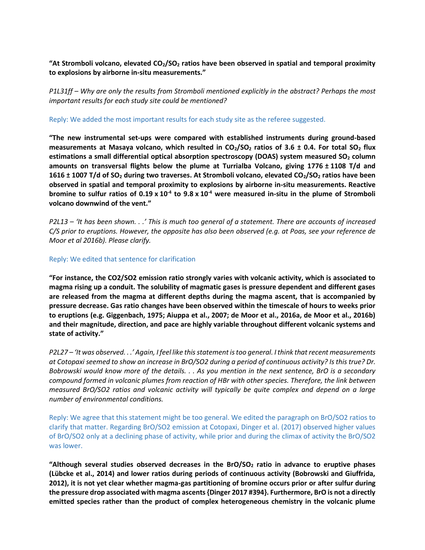**"At Stromboli volcano, elevated CO2/SO<sup>2</sup> ratios have been observed in spatial and temporal proximity to explosions by airborne in-situ measurements."**

*P1L31ff – Why are only the results from Stromboli mentioned explicitly in the abstract? Perhaps the most important results for each study site could be mentioned?*

Reply: We added the most important results for each study site as the referee suggested.

**"The new instrumental set-ups were compared with established instruments during ground-based measurements at Masaya volcano, which resulted in CO2/SO<sup>2</sup> ratios of 3.6 ± 0.4. For total SO<sup>2</sup> flux estimations a small differential optical absorption spectroscopy (DOAS) system measured SO<sup>2</sup> column amounts on transversal flights below the plume at Turrialba Volcano, giving 1776 ± 1108 T/d and 1616 ± 1007 T/d of SO<sup>2</sup> during two traverses. At Stromboli volcano, elevated CO2/SO<sup>2</sup> ratios have been observed in spatial and temporal proximity to explosions by airborne in-situ measurements. Reactive bromine to sulfur ratios of 0.19 x 10-4 to 9.8 x 10-4 were measured in-situ in the plume of Stromboli volcano downwind of the vent."**

*P2L13 – 'It has been shown. . .' This is much too general of a statement. There are accounts of increased C/S prior to eruptions. However, the opposite has also been observed (e.g. at Poas, see your reference de Moor et al 2016b). Please clarify.*

Reply: We edited that sentence for clarification

**"For instance, the CO2/SO2 emission ratio strongly varies with volcanic activity, which is associated to magma rising up a conduit. The solubility of magmatic gases is pressure dependent and different gases are released from the magma at different depths during the magma ascent, that is accompanied by pressure decrease. Gas ratio changes have been observed within the timescale of hours to weeks prior to eruptions (e.g. Giggenbach, 1975; Aiuppa et al., 2007; de Moor et al., 2016a, de Moor et al., 2016b) and their magnitude, direction, and pace are highly variable throughout different volcanic systems and state of activity."**

*P2L27 – 'It was observed. . .' Again, I feel like this statement is too general. I think that recent measurements at Cotopaxi seemed to show an increase in BrO/SO2 during a period of continuous activity? Is this true? Dr. Bobrowski would know more of the details. . . As you mention in the next sentence, BrO is a secondary compound formed in volcanic plumes from reaction of HBr with other species. Therefore, the link between measured BrO/SO2 ratios and volcanic activity will typically be quite complex and depend on a large number of environmental conditions.*

Reply: We agree that this statement might be too general. We edited the paragraph on BrO/SO2 ratios to clarify that matter. Regarding BrO/SO2 emission at Cotopaxi, Dinger et al. (2017) observed higher values of BrO/SO2 only at a declining phase of activity, while prior and during the climax of activity the BrO/SO2 was lower.

**"Although several studies observed decreases in the BrO/SO<sup>2</sup> ratio in advance to eruptive phases (Lübcke et al., 2014) and lower ratios during periods of continuous activity (Bobrowski and Giuffrida, 2012), it is not yet clear whether magma-gas partitioning of bromine occurs prior or after sulfur during the pressure drop associated with magma ascents {Dinger 2017 #394}. Furthermore, BrO is not a directly emitted species rather than the product of complex heterogeneous chemistry in the volcanic plume**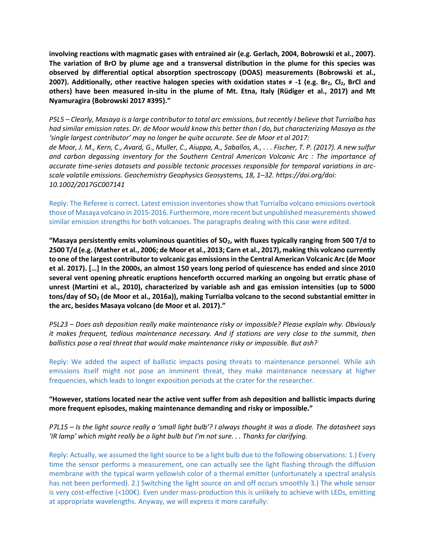**involving reactions with magmatic gases with entrained air (e.g. Gerlach, 2004, Bobrowski et al., 2007). The variation of BrO by plume age and a transversal distribution in the plume for this species was observed by differential optical absorption spectroscopy (DOAS) measurements (Bobrowski et al., 2007). Additionally, other reactive halogen species with oxidation states ≠ -1 (e.g. Br2, Cl2, BrCl and others) have been measured in-situ in the plume of Mt. Etna, Italy (Rüdiger et al., 2017) and Mt Nyamuragira {Bobrowski 2017 #395}."**

*P5L5 – Clearly, Masaya is a large contributor to total arc emissions, but recently I believe that Turrialba has had similar emission rates. Dr. de Moor would know this better than I do, but characterizing Masaya as the 'single largest contributor' may no longer be quite accurate. See de Moor et al 2017: de Moor, J. M., Kern, C., Avard, G., Muller, C., Aiuppa, A., Saballos, A., . . . Fischer, T. P. (2017). A new sulfur and carbon degassing inventory for the Southern Central American Volcanic Arc : The importance of accurate time-series datasets and possible tectonic processes responsible for temporal variations in arcscale volatile emissions. Geochemistry Geophysics Geosystems, 18, 1–32. https://doi.org/doi: 10.1002/2017GC007141*

Reply: The Referee is correct. Latest emission inventories show that Turrialba volcano emissions overtook those of Masaya volcano in 2015-2016. Furthermore, more recent but unpublished measurements showed similar emission strengths for both volcanoes. The paragraphs dealing with this case were edited.

**"Masaya persistently emits voluminous quantities of SO2, with fluxes typically ranging from 500 T/d to 2500 T/d (e.g. (Mather et al., 2006; de Moor et al., 2013; Carn et al., 2017), making this volcano currently to one of the largest contributor to volcanic gas emissions in the Central American Volcanic Arc (de Moor et al. 2017). […] In the 2000s, an almost 150 years long period of quiescence has ended and since 2010 several vent opening phreatic eruptions henceforth occurred marking an ongoing but erratic phase of unrest (Martini et al., 2010), characterized by variable ash and gas emission intensities (up to 5000 tons/day of SO<sup>2</sup> (de Moor et al., 2016a)), making Turrialba volcano to the second substantial emitter in the arc, besides Masaya volcano (de Moor et al. 2017)."**

*P5L23 – Does ash deposition really make maintenance risky or impossible? Please explain why. Obviously it makes frequent, tedious maintenance necessary. And if stations are very close to the summit, then ballistics pose a real threat that would make maintenance risky or impossible. But ash?*

Reply: We added the aspect of ballistic impacts posing threats to maintenance personnel. While ash emissions itself might not pose an imminent threat, they make maintenance necessary at higher frequencies, which leads to longer exposition periods at the crater for the researcher.

**"However, stations located near the active vent suffer from ash deposition and ballistic impacts during more frequent episodes, making maintenance demanding and risky or impossible."**

*P7L15 – Is the light source really a 'small light bulb'? I always thought it was a diode. The datasheet says 'IR lamp' which might really be a light bulb but I'm not sure. . . Thanks for clarifying.*

Reply: Actually, we assumed the light source to be a light bulb due to the following observations: 1.) Every time the sensor performs a measurement, one can actually see the light flashing through the diffusion membrane with the typical warm yellowish color of a thermal emitter (unfortunately a spectral analysis has not been performed). 2.) Switching the light source on and off occurs smoothly 3.) The whole sensor is very cost-effective (<100€). Even under mass-production this is unlikely to achieve with LEDs, emitting at appropriate wavelengths. Anyway, we will express it more carefully: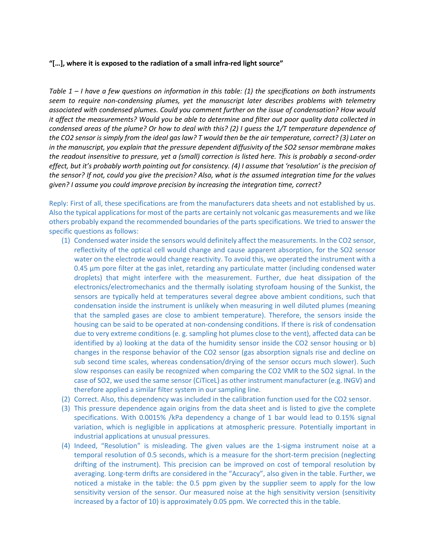#### **"[…], where it is exposed to the radiation of a small infra-red light source"**

*Table 1 – I have a few questions on information in this table: (1) the specifications on both instruments seem to require non-condensing plumes, yet the manuscript later describes problems with telemetry associated with condensed plumes. Could you comment further on the issue of condensation? How would it affect the measurements? Would you be able to determine and filter out poor quality data collected in condensed areas of the plume? Or how to deal with this? (2) I guess the 1/T temperature dependence of the CO2 sensor is simply from the ideal gas law? T would then be the air temperature, correct? (3) Later on in the manuscript, you explain that the pressure dependent diffusivity of the SO2 sensor membrane makes the readout insensitive to pressure, yet a (small) correction is listed here. This is probably a second-order effect, but it's probably worth pointing out for consistency. (4) I assume that 'resolution' is the precision of the sensor? If not, could you give the precision? Also, what is the assumed integration time for the values given? I assume you could improve precision by increasing the integration time, correct?*

Reply: First of all, these specifications are from the manufacturers data sheets and not established by us. Also the typical applications for most of the parts are certainly not volcanic gas measurements and we like others probably expand the recommended boundaries of the parts specifications. We tried to answer the specific questions as follows:

- (1) Condensed water inside the sensors would definitely affect the measurements. In the CO2 sensor, reflectivity of the optical cell would change and cause apparent absorption, for the SO2 sensor water on the electrode would change reactivity. To avoid this, we operated the instrument with a 0.45 µm pore filter at the gas inlet, retarding any particulate matter (including condensed water droplets) that might interfere with the measurement. Further, due heat dissipation of the electronics/electromechanics and the thermally isolating styrofoam housing of the Sunkist, the sensors are typically held at temperatures several degree above ambient conditions, such that condensation inside the instrument is unlikely when measuring in well diluted plumes (meaning that the sampled gases are close to ambient temperature). Therefore, the sensors inside the housing can be said to be operated at non-condensing conditions. If there is risk of condensation due to very extreme conditions (e. g. sampling hot plumes close to the vent), affected data can be identified by a) looking at the data of the humidity sensor inside the CO2 sensor housing or b) changes in the response behavior of the CO2 sensor (gas absorption signals rise and decline on sub second time scales, whereas condensation/drying of the sensor occurs much slower). Such slow responses can easily be recognized when comparing the CO2 VMR to the SO2 signal. In the case of SO2, we used the same sensor (CiTiceL) as other instrument manufacturer (e.g. INGV) and therefore applied a similar filter system in our sampling line.
- (2) Correct. Also, this dependency was included in the calibration function used for the CO2 sensor.
- (3) This pressure dependence again origins from the data sheet and is listed to give the complete specifications. With 0.0015% /kPa dependency a change of 1 bar would lead to 0.15% signal variation, which is negligible in applications at atmospheric pressure. Potentially important in industrial applications at unusual pressures.
- (4) Indeed, "Resolution" is misleading. The given values are the 1-sigma instrument noise at a temporal resolution of 0.5 seconds, which is a measure for the short-term precision (neglecting drifting of the instrument). This precision can be improved on cost of temporal resolution by averaging. Long-term drifts are considered in the "Accuracy", also given in the table. Further, we noticed a mistake in the table: the 0.5 ppm given by the supplier seem to apply for the low sensitivity version of the sensor. Our measured noise at the high sensitivity version (sensitivity increased by a factor of 10) is approximately 0.05 ppm. We corrected this in the table.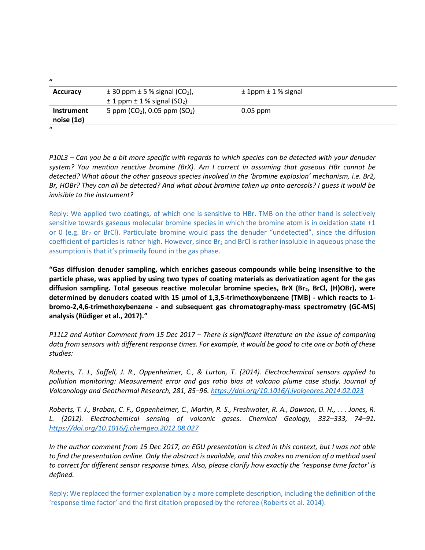| <b>Accuracy</b>                        | $\pm$ 30 ppm $\pm$ 5 % signal (CO <sub>2</sub> ),<br>$\pm$ 1 ppm $\pm$ 1 % signal (SO <sub>2</sub> ) | $± 1$ ppm $± 1$ % signal |  |
|----------------------------------------|------------------------------------------------------------------------------------------------------|--------------------------|--|
| <b>Instrument</b><br>noise $(1\sigma)$ | 5 ppm $(CO_2)$ , 0.05 ppm $(SO_2)$                                                                   | $0.05$ ppm               |  |
| $\mathbf{u}$                           |                                                                                                      |                          |  |

 $\mathbf{u}$ 

*P10L3 – Can you be a bit more specific with regards to which species can be detected with your denuder system? You mention reactive bromine (BrX). Am I correct in assuming that gaseous HBr cannot be detected? What about the other gaseous species involved in the 'bromine explosion' mechanism, i.e. Br2, Br, HOBr? They can all be detected? And what about bromine taken up onto aerosols? I guess it would be invisible to the instrument?*

Reply: We applied two coatings, of which one is sensitive to HBr. TMB on the other hand is selectively sensitive towards gaseous molecular bromine species in which the bromine atom is in oxidation state +1 or 0 (e.g.  $Br<sub>2</sub>$  or BrCl). Particulate bromine would pass the denuder "undetected", since the diffusion coefficient of particles is rather high. However, since Br<sub>2</sub> and BrCl is rather insoluble in aqueous phase the assumption is that it's primarily found in the gas phase.

**"Gas diffusion denuder sampling, which enriches gaseous compounds while being insensitive to the particle phase, was applied by using two types of coating materials as derivatization agent for the gas diffusion sampling. Total gaseous reactive molecular bromine species, BrX (Br2, BrCl, (H)OBr), were determined by denuders coated with 15 µmol of 1,3,5-trimethoxybenzene (TMB) - which reacts to 1 bromo-2,4,6-trimethoxybenzene - and subsequent gas chromatography-mass spectrometry (GC-MS) analysis (Rüdiger et al., 2017)."**

*P11L2 and Author Comment from 15 Dec 2017 – There is significant literature on the issue of comparing data from sensors with different response times. For example, it would be good to cite one or both of these studies:*

*Roberts, T. J., Saffell, J. R., Oppenheimer, C., & Lurton, T. (2014). Electrochemical sensors applied to pollution monitoring: Measurement error and gas ratio bias at volcano plume case study. Journal of Volcanology and Geothermal Research, 281, 85–96[. https://doi.org/10.1016/j.jvolgeores.2014.02.023](https://doi.org/10.1016/j.jvolgeores.2014.02.023)*

*Roberts, T. J., Braban, C. F., Oppenheimer, C., Martin, R. S., Freshwater, R. A., Dawson, D. H., . . . Jones, R. L. (2012). Electrochemical sensing of volcanic gases. Chemical Geology, 332–333, 74–91. <https://doi.org/10.1016/j.chemgeo.2012.08.027>*

*In the author comment from 15 Dec 2017, an EGU presentation is cited in this context, but I was not able to find the presentation online. Only the abstract is available, and this makes no mention of a method used to correct for different sensor response times. Also, please clarify how exactly the 'response time factor' is defined.*

Reply: We replaced the former explanation by a more complete description, including the definition of the 'response time factor' and the first citation proposed by the referee (Roberts et al. 2014).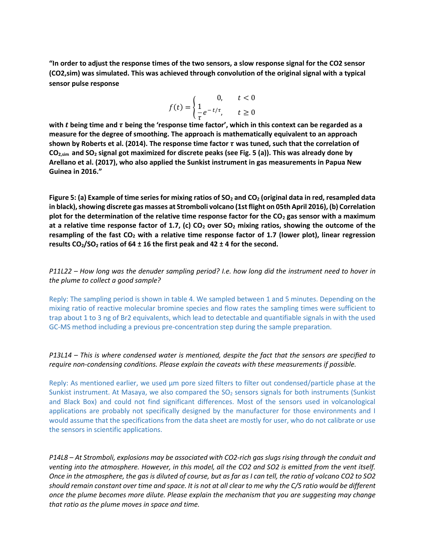**"In order to adjust the response times of the two sensors, a slow response signal for the CO2 sensor (CO2,sim) was simulated. This was achieved through convolution of the original signal with a typical sensor pulse response**

$$
f(t) = \begin{cases} 0, & t < 0\\ \frac{1}{\tau} e^{-t/\tau}, & t \ge 0 \end{cases}
$$

**with being time and being the 'response time factor', which in this context can be regarded as a measure for the degree of smoothing. The approach is mathematically equivalent to an approach** shown by Roberts et al. (2014). The response time factor  $\tau$  was tuned, such that the correlation of **CO2,sim and SO<sup>2</sup> signal got maximized for discrete peaks (see Fig. 5 (a)). This was already done by Arellano et al. (2017), who also applied the Sunkist instrument in gas measurements in Papua New Guinea in 2016."**

**Figure 5: (a) Example of time series for mixing ratios of SO<sup>2</sup> and CO<sup>2</sup> (original data in red, resampled data in black), showing discrete gas masses at Stromboli volcano (1st flight on 05th April 2016), (b) Correlation plot for the determination of the relative time response factor for the CO<sup>2</sup> gas sensor with a maximum at a relative time response factor of 1.7, (c) CO<sup>2</sup> over SO<sup>2</sup> mixing ratios, showing the outcome of the resampling of the fast CO<sup>2</sup> with a relative time response factor of 1.7 (lower plot), linear regression results CO2/SO<sup>2</sup> ratios of 64 ± 16 the first peak and 42 ± 4 for the second.**

*P11L22 – How long was the denuder sampling period? I.e. how long did the instrument need to hover in the plume to collect a good sample?*

Reply: The sampling period is shown in table 4. We sampled between 1 and 5 minutes. Depending on the mixing ratio of reactive molecular bromine species and flow rates the sampling times were sufficient to trap about 1 to 3 ng of Br2 equivalents, which lead to detectable and quantifiable signals in with the used GC-MS method including a previous pre-concentration step during the sample preparation.

#### *P13L14 – This is where condensed water is mentioned, despite the fact that the sensors are specified to require non-condensing conditions. Please explain the caveats with these measurements if possible.*

Reply: As mentioned earlier, we used um pore sized filters to filter out condensed/particle phase at the Sunkist instrument. At Masaya, we also compared the  $SO<sub>2</sub>$  sensors signals for both instruments (Sunkist and Black Box) and could not find significant differences. Most of the sensors used in volcanological applications are probably not specifically designed by the manufacturer for those environments and I would assume that the specifications from the data sheet are mostly for user, who do not calibrate or use the sensors in scientific applications.

*P14L8 – At Stromboli, explosions may be associated with CO2-rich gas slugs rising through the conduit and venting into the atmosphere. However, in this model, all the CO2 and SO2 is emitted from the vent itself. Once in the atmosphere, the gas is diluted of course, but as far as I can tell, the ratio of volcano CO2 to SO2 should remain constant over time and space. It is not at all clear to me why the C/S ratio would be different once the plume becomes more dilute. Please explain the mechanism that you are suggesting may change that ratio as the plume moves in space and time.*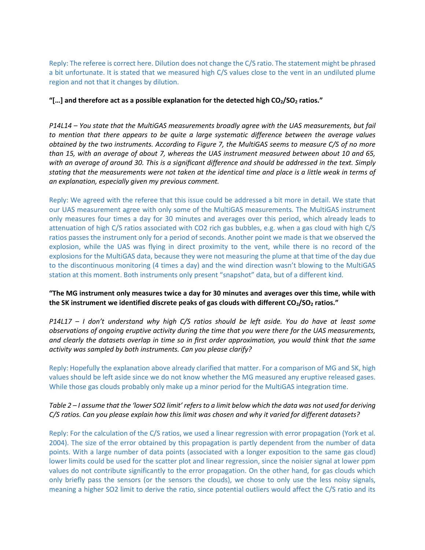Reply: The referee is correct here. Dilution does not change the C/S ratio. The statement might be phrased a bit unfortunate. It is stated that we measured high C/S values close to the vent in an undiluted plume region and not that it changes by dilution.

#### **"[…] and therefore act as a possible explanation for the detected high CO2/SO<sup>2</sup> ratios."**

*P14L14 – You state that the MultiGAS measurements broadly agree with the UAS measurements, but fail to mention that there appears to be quite a large systematic difference between the average values obtained by the two instruments. According to Figure 7, the MultiGAS seems to measure C/S of no more than 15, with an average of about 7, whereas the UAS instrument measured between about 10 and 65, with an average of around 30. This is a significant difference and should be addressed in the text. Simply stating that the measurements were not taken at the identical time and place is a little weak in terms of an explanation, especially given my previous comment.*

Reply: We agreed with the referee that this issue could be addressed a bit more in detail. We state that our UAS measurement agree with only some of the MultiGAS measurements. The MultiGAS instrument only measures four times a day for 30 minutes and averages over this period, which already leads to attenuation of high C/S ratios associated with CO2 rich gas bubbles, e.g. when a gas cloud with high C/S ratios passes the instrument only for a period of seconds. Another point we made is that we observed the explosion, while the UAS was flying in direct proximity to the vent, while there is no record of the explosions for the MultiGAS data, because they were not measuring the plume at that time of the day due to the discontinuous monitoring (4 times a day) and the wind direction wasn't blowing to the MultiGAS station at this moment. Both instruments only present "snapshot" data, but of a different kind.

#### **"The MG instrument only measures twice a day for 30 minutes and averages over this time, while with the SK instrument we identified discrete peaks of gas clouds with different CO2/SO<sup>2</sup> ratios."**

*P14L17 – I don't understand why high C/S ratios should be left aside. You do have at least some observations of ongoing eruptive activity during the time that you were there for the UAS measurements, and clearly the datasets overlap in time so in first order approximation, you would think that the same activity was sampled by both instruments. Can you please clarify?*

Reply: Hopefully the explanation above already clarified that matter. For a comparison of MG and SK, high values should be left aside since we do not know whether the MG measured any eruptive released gases. While those gas clouds probably only make up a minor period for the MultiGAS integration time.

## *Table 2 – I assume that the 'lower SO2 limit' refers to a limit below which the data was not used for deriving C/S ratios. Can you please explain how this limit was chosen and why it varied for different datasets?*

Reply: For the calculation of the C/S ratios, we used a linear regression with error propagation (York et al. 2004). The size of the error obtained by this propagation is partly dependent from the number of data points. With a large number of data points (associated with a longer exposition to the same gas cloud) lower limits could be used for the scatter plot and linear regression, since the noisier signal at lower ppm values do not contribute significantly to the error propagation. On the other hand, for gas clouds which only briefly pass the sensors (or the sensors the clouds), we chose to only use the less noisy signals, meaning a higher SO2 limit to derive the ratio, since potential outliers would affect the C/S ratio and its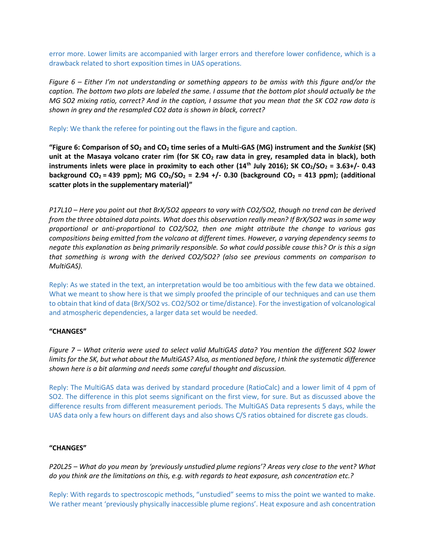error more. Lower limits are accompanied with larger errors and therefore lower confidence, which is a drawback related to short exposition times in UAS operations.

*Figure 6 – Either I'm not understanding or something appears to be amiss with this figure and/or the caption. The bottom two plots are labeled the same. I assume that the bottom plot should actually be the MG SO2 mixing ratio, correct? And in the caption, I assume that you mean that the SK CO2 raw data is shown in grey and the resampled CO2 data is shown in black, correct?*

Reply: We thank the referee for pointing out the flaws in the figure and caption.

**"Figure 6: Comparison of SO<sup>2</sup> and CO<sup>2</sup> time series of a Multi-GAS (MG) instrument and the** *Sunkist* **(SK) unit at the Masaya volcano crater rim (for SK CO<sup>2</sup> raw data in grey, resampled data in black), both instruments inlets were place in proximity to each other (14<sup>th</sup> July 2016); SK CO<sub>2</sub>/SO<sub>2</sub> = 3.63+/- 0.43 background CO<sup>2</sup> = 439 ppm); MG CO2/SO<sup>2</sup> = 2.94 +/- 0.30 (background CO<sup>2</sup> = 413 ppm); (additional scatter plots in the supplementary material)"**

*P17L10 – Here you point out that BrX/SO2 appears to vary with CO2/SO2, though no trend can be derived from the three obtained data points. What does this observation really mean? If BrX/SO2 was in some way proportional or anti-proportional to CO2/SO2, then one might attribute the change to various gas compositions being emitted from the volcano at different times. However, a varying dependency seems to negate this explanation as being primarily responsible. So what could possible cause this? Or is this a sign that something is wrong with the derived CO2/SO2? (also see previous comments on comparison to MultiGAS).*

Reply: As we stated in the text, an interpretation would be too ambitious with the few data we obtained. What we meant to show here is that we simply proofed the principle of our techniques and can use them to obtain that kind of data (BrX/SO2 vs. CO2/SO2 or time/distance). For the investigation of volcanological and atmospheric dependencies, a larger data set would be needed.

#### **"CHANGES"**

*Figure 7 – What criteria were used to select valid MultiGAS data? You mention the different SO2 lower limits for the SK, but what about the MultiGAS? Also, as mentioned before, I think the systematic difference shown here is a bit alarming and needs some careful thought and discussion.*

Reply: The MultiGAS data was derived by standard procedure (RatioCalc) and a lower limit of 4 ppm of SO2. The difference in this plot seems significant on the first view, for sure. But as discussed above the difference results from different measurement periods. The MultiGAS Data represents 5 days, while the UAS data only a few hours on different days and also shows C/S ratios obtained for discrete gas clouds.

#### **"CHANGES"**

*P20L25 – What do you mean by 'previously unstudied plume regions'? Areas very close to the vent? What do you think are the limitations on this, e.g. with regards to heat exposure, ash concentration etc.?*

Reply: With regards to spectroscopic methods, "unstudied" seems to miss the point we wanted to make. We rather meant 'previously physically inaccessible plume regions'. Heat exposure and ash concentration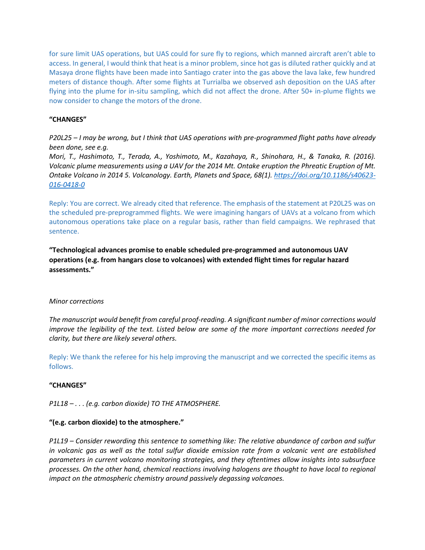for sure limit UAS operations, but UAS could for sure fly to regions, which manned aircraft aren't able to access. In general, I would think that heat is a minor problem, since hot gas is diluted rather quickly and at Masaya drone flights have been made into Santiago crater into the gas above the lava lake, few hundred meters of distance though. After some flights at Turrialba we observed ash deposition on the UAS after flying into the plume for in-situ sampling, which did not affect the drone. After 50+ in-plume flights we now consider to change the motors of the drone.

#### **"CHANGES"**

*P20L25 – I may be wrong, but I think that UAS operations with pre-programmed flight paths have already been done, see e.g.*

*Mori, T., Hashimoto, T., Terada, A., Yoshimoto, M., Kazahaya, R., Shinohara, H., & Tanaka, R. (2016). Volcanic plume measurements using a UAV for the 2014 Mt. Ontake eruption the Phreatic Eruption of Mt. Ontake Volcano in 2014 5. Volcanology. Earth, Planets and Space, 68(1). [https://doi.org/10.1186/s40623-](https://doi.org/10.1186/s40623-016-0418-0) [016-0418-0](https://doi.org/10.1186/s40623-016-0418-0)*

Reply: You are correct. We already cited that reference. The emphasis of the statement at P20L25 was on the scheduled pre-preprogrammed flights. We were imagining hangars of UAVs at a volcano from which autonomous operations take place on a regular basis, rather than field campaigns. We rephrased that sentence.

**"Technological advances promise to enable scheduled pre-programmed and autonomous UAV operations (e.g. from hangars close to volcanoes) with extended flight times for regular hazard assessments."**

#### *Minor corrections*

*The manuscript would benefit from careful proof-reading. A significant number of minor corrections would improve the legibility of the text. Listed below are some of the more important corrections needed for clarity, but there are likely several others.*

Reply: We thank the referee for his help improving the manuscript and we corrected the specific items as follows.

#### **"CHANGES"**

*P1L18 – . . . (e.g. carbon dioxide) TO THE ATMOSPHERE.*

#### **"(e.g. carbon dioxide) to the atmosphere."**

*P1L19 – Consider rewording this sentence to something like: The relative abundance of carbon and sulfur in volcanic gas as well as the total sulfur dioxide emission rate from a volcanic vent are established parameters in current volcano monitoring strategies, and they oftentimes allow insights into subsurface processes. On the other hand, chemical reactions involving halogens are thought to have local to regional impact on the atmospheric chemistry around passively degassing volcanoes.*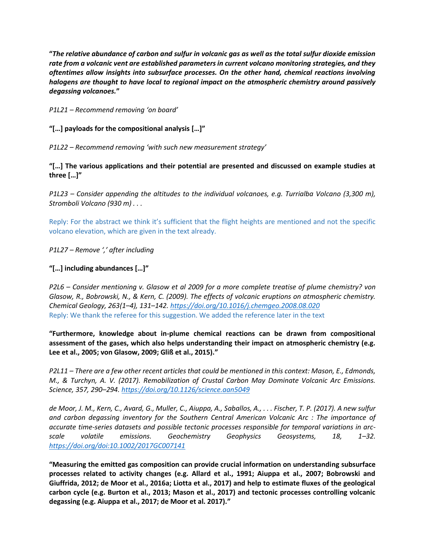**"***The relative abundance of carbon and sulfur in volcanic gas as well as the total sulfur dioxide emission rate from a volcanic vent are established parameters in current volcano monitoring strategies, and they oftentimes allow insights into subsurface processes. On the other hand, chemical reactions involving halogens are thought to have local to regional impact on the atmospheric chemistry around passively degassing volcanoes.***"**

*P1L21 – Recommend removing 'on board'*

**"[…] payloads for the compositional analysis […]"**

*P1L22 – Recommend removing 'with such new measurement strategy'*

**"[…] The various applications and their potential are presented and discussed on example studies at three […]"**

*P1L23 – Consider appending the altitudes to the individual volcanoes, e.g. Turrialba Volcano (3,300 m), Stromboli Volcano (930 m) . . .*

Reply: For the abstract we think it's sufficient that the flight heights are mentioned and not the specific volcano elevation, which are given in the text already.

*P1L27 – Remove ',' after including*

## **"[…] including abundances […]"**

*P2L6 – Consider mentioning v. Glasow et al 2009 for a more complete treatise of plume chemistry? von Glasow, R., Bobrowski, N., & Kern, C. (2009). The effects of volcanic eruptions on atmospheric chemistry. Chemical Geology, 263(1–4), 131–142. <https://doi.org/10.1016/j.chemgeo.2008.08.020>* Reply: We thank the referee for this suggestion. We added the reference later in the text

**"Furthermore, knowledge about in-plume chemical reactions can be drawn from compositional assessment of the gases, which also helps understanding their impact on atmospheric chemistry (e.g. Lee et al., 2005; von Glasow, 2009; Gliß et al., 2015)."**

*P2L11 – There are a few other recent articles that could be mentioned in this context: Mason, E., Edmonds, M., & Turchyn, A. V. (2017). Remobilization of Crustal Carbon May Dominate Volcanic Arc Emissions. Science, 357, 290–294. <https://doi.org/10.1126/science.aan5049>*

*de Moor, J. M., Kern, C., Avard, G., Muller, C., Aiuppa, A., Saballos, A., . . . Fischer, T. P. (2017). A new sulfur and carbon degassing inventory for the Southern Central American Volcanic Arc : The importance of accurate time-series datasets and possible tectonic processes responsible for temporal variations in arcscale volatile emissions. Geochemistry Geophysics Geosystems, 18, 1–32. <https://doi.org/doi:10.1002/2017GC007141>*

**"Measuring the emitted gas composition can provide crucial information on understanding subsurface processes related to activity changes (e.g. Allard et al., 1991; Aiuppa et al., 2007; Bobrowski and Giuffrida, 2012; de Moor et al., 2016a; Liotta et al., 2017) and help to estimate fluxes of the geological carbon cycle (e.g. Burton et al., 2013; Mason et al., 2017) and tectonic processes controlling volcanic degassing (e.g. Aiuppa et al., 2017; de Moor et al. 2017)."**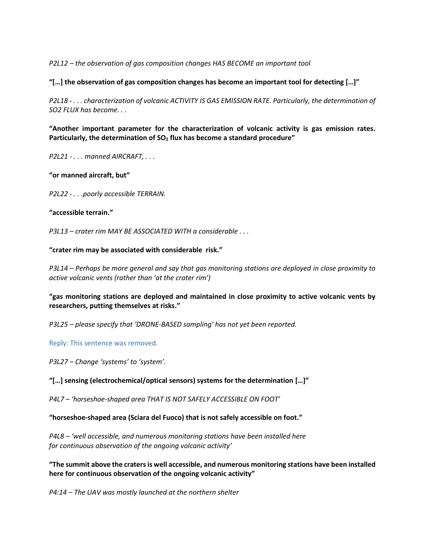*P2L12 – the observation of gas composition changes HAS BECOME an important tool*

**"[…] the observation of gas composition changes has become an important tool for detecting […]"**

*P2L18 - . . . characterization of volcanic ACTIVITY IS GAS EMISSION RATE. Particularly, the determination of SO2 FLUX has become. . .*

**"Another important parameter for the characterization of volcanic activity is gas emission rates. Particularly, the determination of SO<sup>2</sup> flux has become a standard procedure"**

*P2L21 - . . . manned AIRCRAFT, . . .* 

**"or manned aircraft, but"**

*P2L22 - . . .poorly accessible TERRAIN.*

#### **"accessible terrain."**

*P3L13 – crater rim MAY BE ASSOCIATED WITH a considerable . . .* 

**"crater rim may be associated with considerable risk."**

*P3L14 – Perhaps be more general and say that gas monitoring stations are deployed in close proximity to active volcanic vents (rather than 'at the crater rim')* 

**"gas monitoring stations are deployed and maintained in close proximity to active volcanic vents by researchers, putting themselves at risks."**

*P3L25 – please specify that 'DRONE-BASED sampling' has not yet been reported.*

Reply: This sentence was removed.

*P3L27 – Change 'systems' to 'system'.*

**"[…] sensing (electrochemical/optical sensors) systems for the determination […]"**

*P4L7 – 'horseshoe-shaped area THAT IS NOT SAFELY ACCESSIBLE ON FOOT'* 

**"horseshoe-shaped area (Sciara del Fuoco) that is not safely accessible on foot."**

*P4L8 – 'well accessible, and numerous monitoring stations have been installed here for continuous observation of the ongoing volcanic activity'*

**"The summit above the craters is well accessible, and numerous monitoring stations have been installed here for continuous observation of the ongoing volcanic activity"**

*P4:14 – The UAV was mostly launched at the northern shelter*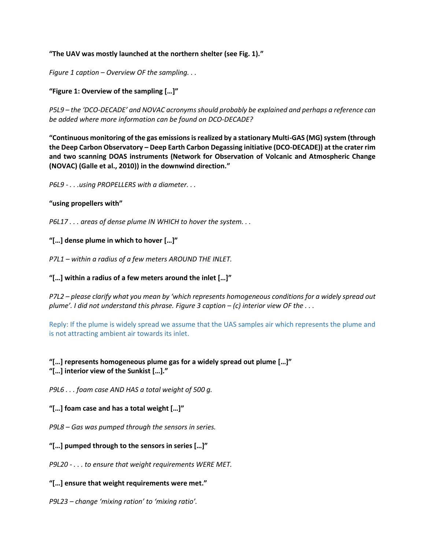## **"The UAV was mostly launched at the northern shelter (see Fig. 1)."**

*Figure 1 caption – Overview OF the sampling. . .*

## **"Figure 1: Overview of the sampling […]"**

*P5L9 – the 'DCO-DECADE' and NOVAC acronyms should probably be explained and perhaps a reference can be added where more information can be found on DCO-DECADE?*

**"Continuous monitoring of the gas emissions is realized by a stationary Multi-GAS (MG) system (through the Deep Carbon Observatory – Deep Earth Carbon Degassing initiative (DCO-DECADE)) at the crater rim and two scanning DOAS instruments (Network for Observation of Volcanic and Atmospheric Change (NOVAC) (Galle et al., 2010)) in the downwind direction."**

*P6L9 - . . .using PROPELLERS with a diameter. . .*

#### **"using propellers with"**

*P6L17 . . . areas of dense plume IN WHICH to hover the system. . .*

## **"[…] dense plume in which to hover […]"**

*P7L1 – within a radius of a few meters AROUND THE INLET.*

#### **"[…] within a radius of a few meters around the inlet […]"**

*P7L2 – please clarify what you mean by 'which represents homogeneous conditions for a widely spread out plume'. I did not understand this phrase. Figure 3 caption – (c) interior view OF the . . .*

Reply: If the plume is widely spread we assume that the UAS samples air which represents the plume and is not attracting ambient air towards its inlet.

## **"[…] represents homogeneous plume gas for a widely spread out plume […]" "[…] interior view of the Sunkist […]."**

*P9L6 . . . foam case AND HAS a total weight of 500 g.*

#### **"[…] foam case and has a total weight […]"**

*P9L8 – Gas was pumped through the sensors in series.*

#### **"[…] pumped through to the sensors in series […]"**

*P9L20 - . . . to ensure that weight requirements WERE MET.*

#### **"[…] ensure that weight requirements were met."**

*P9L23 – change 'mixing ration' to 'mixing ratio'.*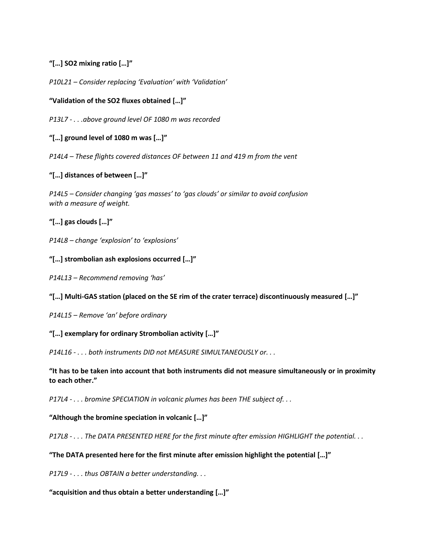## **"[…] SO2 mixing ratio […]"**

*P10L21 – Consider replacing 'Evaluation' with 'Validation'*

**"Validation of the SO2 fluxes obtained […]"**

*P13L7 - . . .above ground level OF 1080 m was recorded*

**"[…] ground level of 1080 m was […]"**

*P14L4 – These flights covered distances OF between 11 and 419 m from the vent*

**"[…] distances of between […]"**

*P14L5 – Consider changing 'gas masses' to 'gas clouds' or similar to avoid confusion with a measure of weight.*

**"[…] gas clouds […]"**

*P14L8 – change 'explosion' to 'explosions'*

**"[…] strombolian ash explosions occurred […]"**

*P14L13 – Recommend removing 'has'*

## **"[…] Multi-GAS station (placed on the SE rim of the crater terrace) discontinuously measured […]"**

*P14L15 – Remove 'an' before ordinary*

**"[…] exemplary for ordinary Strombolian activity […]"**

*P14L16 - . . . both instruments DID not MEASURE SIMULTANEOUSLY or. . .*

**"It has to be taken into account that both instruments did not measure simultaneously or in proximity to each other."**

*P17L4 - . . . bromine SPECIATION in volcanic plumes has been THE subject of. . .*

**"Although the bromine speciation in volcanic […]"**

*P17L8 - . . . The DATA PRESENTED HERE for the first minute after emission HIGHLIGHT the potential. . .*

**"The DATA presented here for the first minute after emission highlight the potential […]"**

*P17L9 - . . . thus OBTAIN a better understanding. . .*

**"acquisition and thus obtain a better understanding […]"**